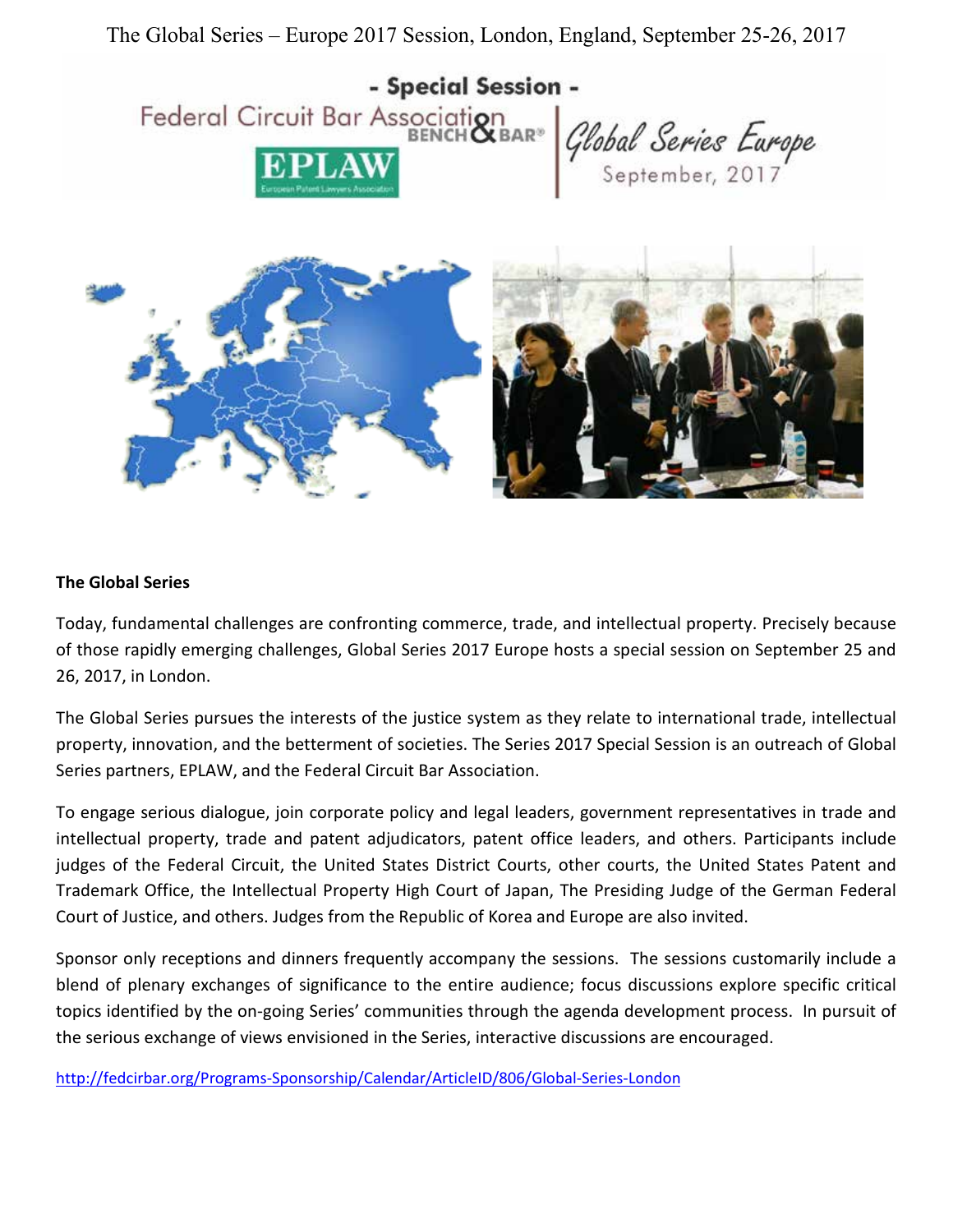The Global Series – Europe 2017 Session, London, England, September 25-26, 2017



#### **The Global Series**

Today, fundamental challenges are confronting commerce, trade, and intellectual property. Precisely because of those rapidly emerging challenges, Global Series 2017 Europe hosts a special session on September 25 and 26, 2017, in London.

The Global Series pursues the interests of the justice system as they relate to international trade, intellectual property, innovation, and the betterment of societies. The Series 2017 Special Session is an outreach of Global Series partners, EPLAW, and the Federal Circuit Bar Association.

To engage serious dialogue, join corporate policy and legal leaders, government representatives in trade and intellectual property, trade and patent adjudicators, patent office leaders, and others. Participants include judges of the Federal Circuit, the United States District Courts, other courts, the United States Patent and Trademark Office, the Intellectual Property High Court of Japan, The Presiding Judge of the German Federal Court of Justice, and others. Judges from the Republic of Korea and Europe are also invited.

Sponsor only receptions and dinners frequently accompany the sessions. The sessions customarily include a blend of plenary exchanges of significance to the entire audience; focus discussions explore specific critical topics identified by the on-going Series' communities through the agenda development process. In pursuit of the serious exchange of views envisioned in the Series, interactive discussions are encouraged.

<http://fedcirbar.org/Programs-Sponsorship/Calendar/ArticleID/806/Global-Series-London>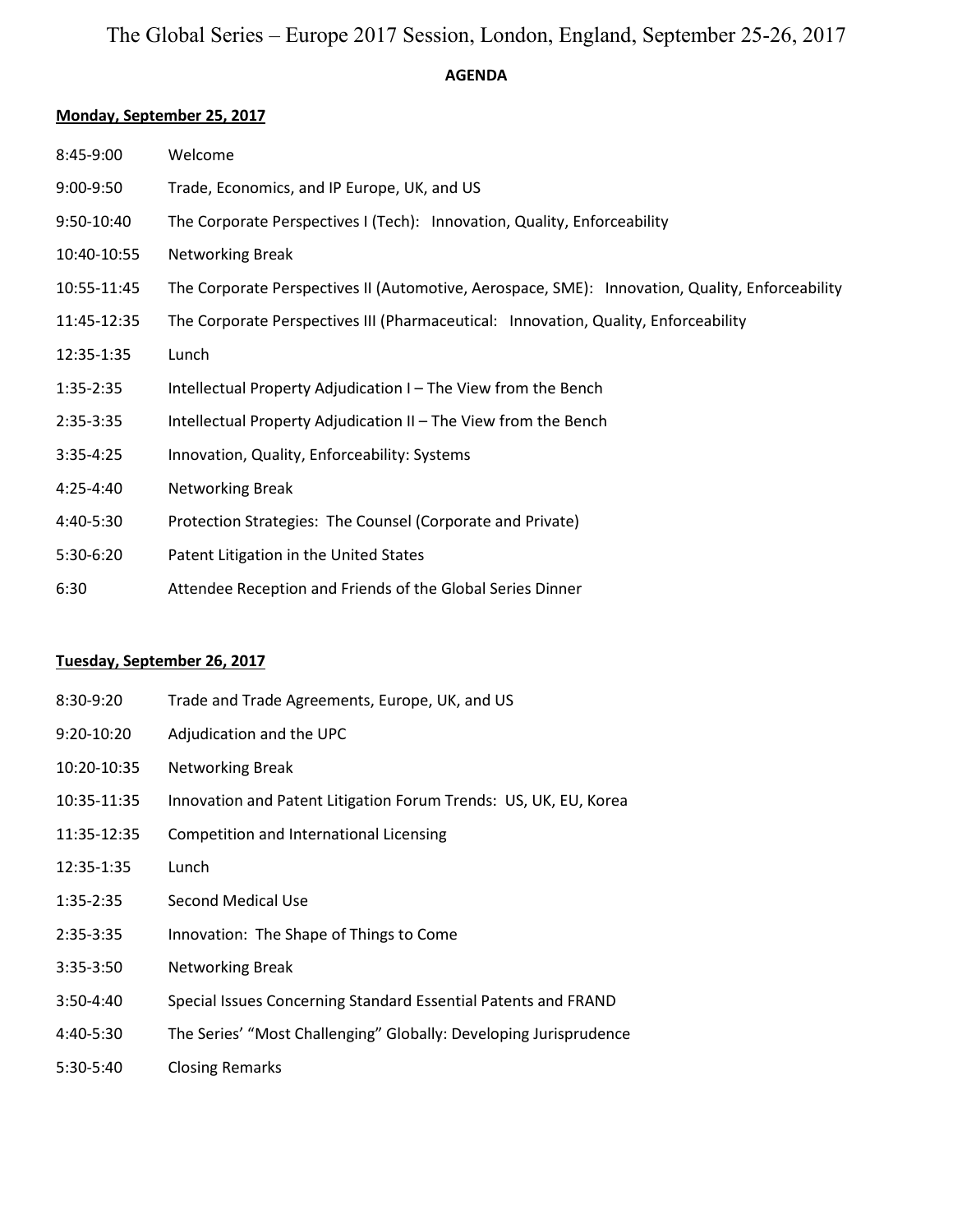# The Global Series – Europe 2017 Session, London, England, September 25-26, 2017

## **AGENDA**

#### **Monday, September 25, 2017**

| 8:45-9:00   | Welcome                                                                                         |
|-------------|-------------------------------------------------------------------------------------------------|
| 9:00-9:50   | Trade, Economics, and IP Europe, UK, and US                                                     |
| 9:50-10:40  | The Corporate Perspectives I (Tech): Innovation, Quality, Enforceability                        |
| 10:40-10:55 | Networking Break                                                                                |
| 10:55-11:45 | The Corporate Perspectives II (Automotive, Aerospace, SME): Innovation, Quality, Enforceability |
| 11:45-12:35 | The Corporate Perspectives III (Pharmaceutical: Innovation, Quality, Enforceability             |
| 12:35-1:35  | Lunch                                                                                           |
| 1:35-2:35   | Intellectual Property Adjudication I - The View from the Bench                                  |
| 2:35-3:35   | Intellectual Property Adjudication II - The View from the Bench                                 |
| $3:35-4:25$ | Innovation, Quality, Enforceability: Systems                                                    |
| 4:25-4:40   | <b>Networking Break</b>                                                                         |
| 4:40-5:30   | Protection Strategies: The Counsel (Corporate and Private)                                      |
| 5:30-6:20   | Patent Litigation in the United States                                                          |
| 6:30        | Attendee Reception and Friends of the Global Series Dinner                                      |

## **Tuesday, September 26, 2017**

| 8:30-9:20    | Trade and Trade Agreements, Europe, UK, and US                    |
|--------------|-------------------------------------------------------------------|
| $9:20-10:20$ | Adjudication and the UPC                                          |
| 10:20-10:35  | Networking Break                                                  |
| 10:35-11:35  | Innovation and Patent Litigation Forum Trends: US, UK, EU, Korea  |
| 11:35-12:35  | Competition and International Licensing                           |
| 12:35-1:35   | Lunch                                                             |
| $1:35-2:35$  | Second Medical Use                                                |
| $2:35-3:35$  | Innovation: The Shape of Things to Come                           |
| $3:35-3:50$  | Networking Break                                                  |
| 3:50-4:40    | Special Issues Concerning Standard Essential Patents and FRAND    |
| 4:40-5:30    | The Series' "Most Challenging" Globally: Developing Jurisprudence |
| 5:30-5:40    | <b>Closing Remarks</b>                                            |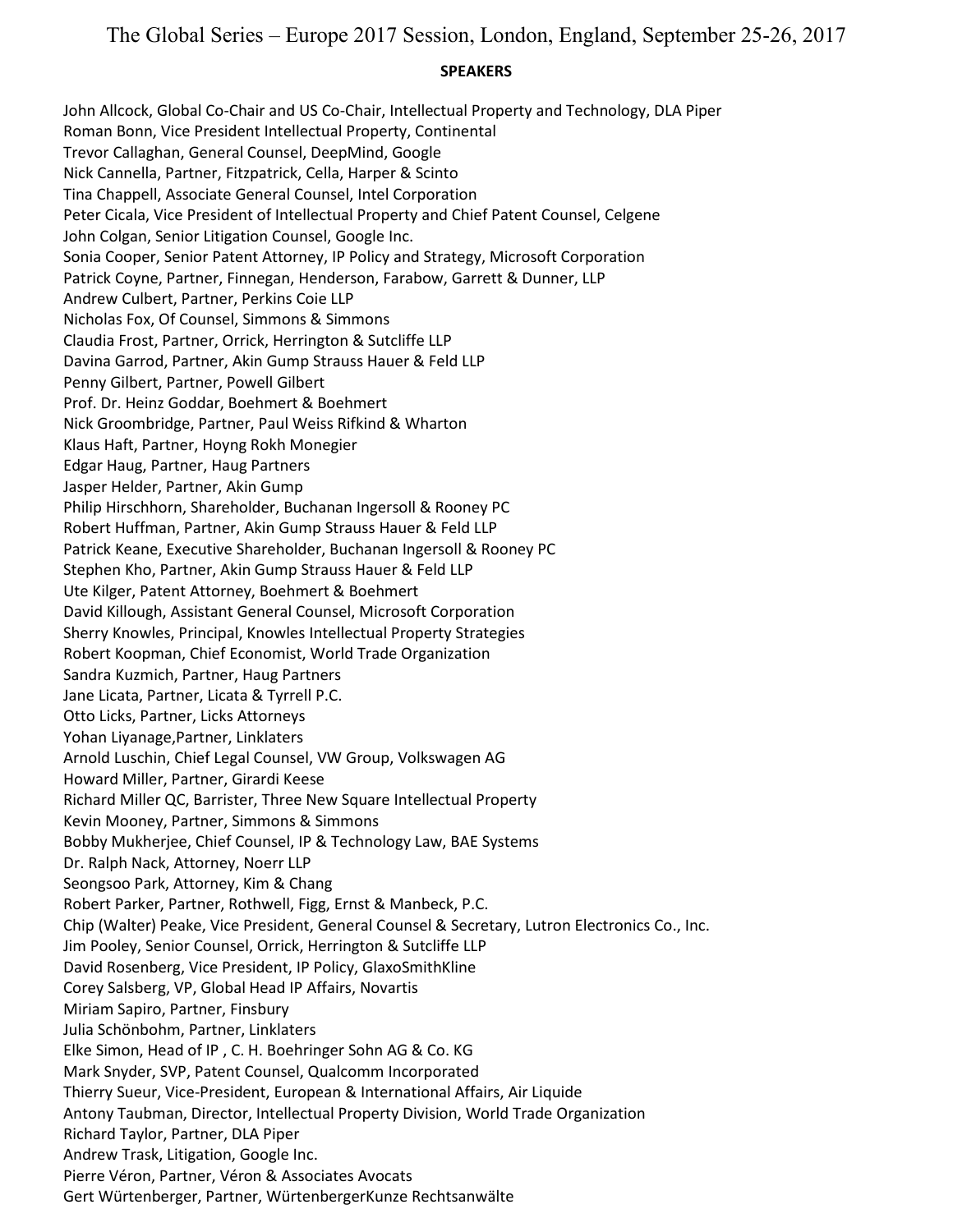#### **SPEAKERS**

John Allcock, Global Co-Chair and US Co-Chair, Intellectual Property and Technology, DLA Piper Roman Bonn, Vice President Intellectual Property, Continental Trevor Callaghan, General Counsel, DeepMind, Google Nick Cannella, Partner, Fitzpatrick, Cella, Harper & Scinto Tina Chappell, Associate General Counsel, Intel Corporation Peter Cicala, Vice President of Intellectual Property and Chief Patent Counsel, Celgene John Colgan, Senior Litigation Counsel, Google Inc. Sonia Cooper, Senior Patent Attorney, IP Policy and Strategy, Microsoft Corporation Patrick Coyne, Partner, Finnegan, Henderson, Farabow, Garrett & Dunner, LLP Andrew Culbert, Partner, Perkins Coie LLP Nicholas Fox, Of Counsel, Simmons & Simmons Claudia Frost, Partner, Orrick, Herrington & Sutcliffe LLP Davina Garrod, Partner, Akin Gump Strauss Hauer & Feld LLP Penny Gilbert, Partner, Powell Gilbert Prof. Dr. Heinz Goddar, Boehmert & Boehmert Nick Groombridge, Partner, Paul Weiss Rifkind & Wharton Klaus Haft, Partner, Hoyng Rokh Monegier Edgar Haug, Partner, Haug Partners Jasper Helder, Partner, Akin Gump Philip Hirschhorn, Shareholder, Buchanan Ingersoll & Rooney PC Robert Huffman, Partner, Akin Gump Strauss Hauer & Feld LLP Patrick Keane, Executive Shareholder, Buchanan Ingersoll & Rooney PC Stephen Kho, Partner, Akin Gump Strauss Hauer & Feld LLP Ute Kilger, Patent Attorney, Boehmert & Boehmert David Killough, Assistant General Counsel, Microsoft Corporation Sherry Knowles, Principal, Knowles Intellectual Property Strategies Robert Koopman, Chief Economist, World Trade Organization Sandra Kuzmich, Partner, Haug Partners Jane Licata, Partner, Licata & Tyrrell P.C. Otto Licks, Partner, Licks Attorneys Yohan Liyanage,Partner, Linklaters Arnold Luschin, Chief Legal Counsel, VW Group, Volkswagen AG Howard Miller, Partner, Girardi Keese Richard Miller QC, Barrister, Three New Square Intellectual Property Kevin Mooney, Partner, Simmons & Simmons Bobby Mukherjee, Chief Counsel, IP & Technology Law, BAE Systems Dr. Ralph Nack, Attorney, Noerr LLP Seongsoo Park, Attorney, Kim & Chang Robert Parker, Partner, Rothwell, Figg, Ernst & Manbeck, P.C. Chip (Walter) Peake, Vice President, General Counsel & Secretary, Lutron Electronics Co., Inc. Jim Pooley, Senior Counsel, Orrick, Herrington & Sutcliffe LLP David Rosenberg, Vice President, IP Policy, GlaxoSmithKline Corey Salsberg, VP, Global Head IP Affairs, Novartis Miriam Sapiro, Partner, Finsbury Julia Schönbohm, Partner, Linklaters Elke Simon, Head of IP , C. H. Boehringer Sohn AG & Co. KG Mark Snyder, SVP, Patent Counsel, Qualcomm Incorporated Thierry Sueur, Vice-President, European & International Affairs, Air Liquide Antony Taubman, Director, Intellectual Property Division, World Trade Organization Richard Taylor, Partner, DLA Piper Andrew Trask, Litigation, Google Inc. Pierre Véron, Partner, Véron & Associates Avocats Gert Würtenberger, Partner, WürtenbergerKunze Rechtsanwälte